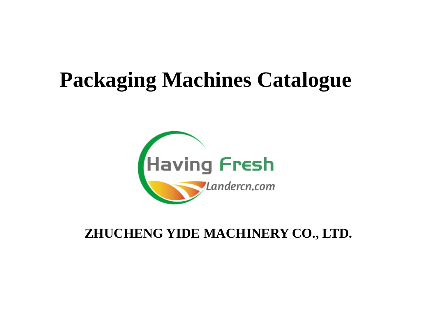# **Packaging Machines Catalogue**



### **ZHUCHENG YIDE MACHINERY CO., LTD.**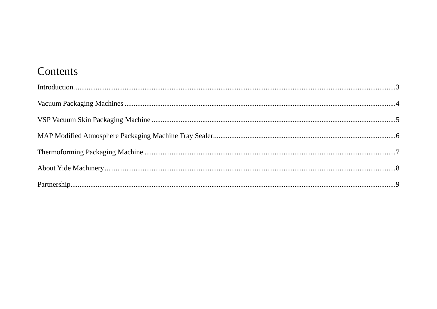#### Contents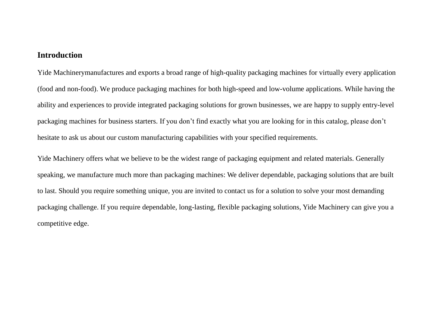#### <span id="page-2-0"></span>**Introduction**

Yide Machinerymanufactures and exports a broad range of high-quality packaging machines for virtually every application (food and non-food). We produce packaging machines for both high-speed and low-volume applications. While having the ability and experiences to provide integrated packaging solutions for grown businesses, we are happy to supply entry-level packaging machines for business starters. If you don't find exactly what you are looking for in this catalog, please don't hesitate to ask us about our custom manufacturing capabilities with your specified requirements.

Yide Machinery offers what we believe to be the widest range of packaging equipment and related materials. Generally speaking, we manufacture much more than packaging machines: We deliver dependable, packaging solutions that are built to last. Should you require something unique, you are invited to contact us for a solution to solve your most demanding packaging challenge. If you require dependable, long-lasting, flexible packaging solutions, Yide Machinery can give you a competitive edge.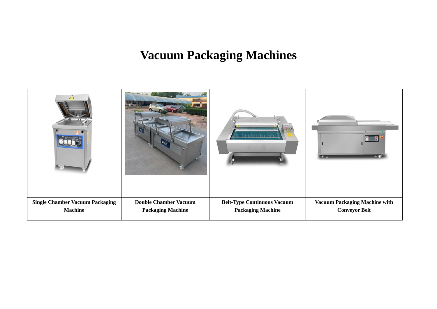#### **Vacuum Packaging Machines**

<span id="page-3-0"></span>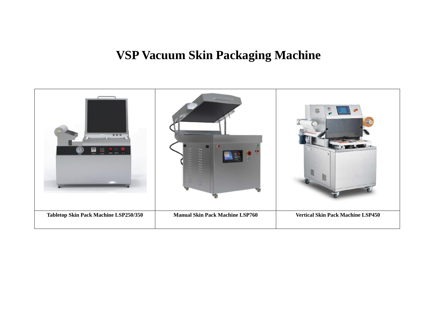### **VSP Vacuum Skin Packaging Machine**

<span id="page-4-0"></span>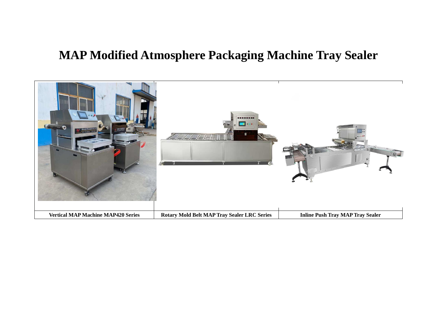#### <span id="page-5-0"></span>**MAP Modified Atmosphere Packaging Machine Tray Sealer**

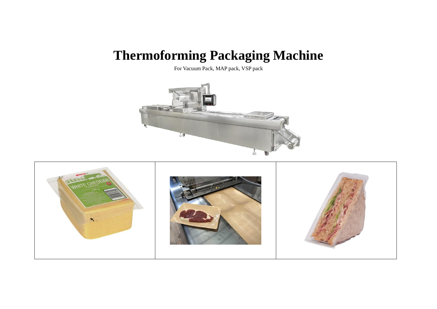## <span id="page-6-0"></span>**Thermoforming Packaging Machine**

For Vacuum Pack, MAP pack, VSP pack



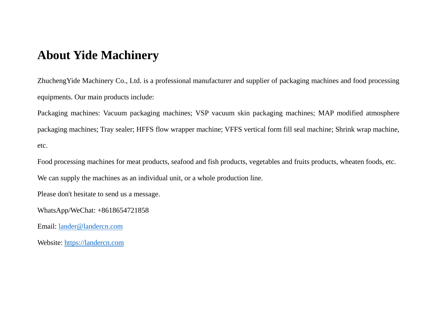#### <span id="page-7-0"></span>**About Yide Machinery**

ZhuchengYide Machinery Co., Ltd. is a professional manufacturer and supplier of packaging machines and food processing equipments. Our main products include:

Packaging machines: Vacuum packaging machines; VSP vacuum skin packaging machines; MAP modified atmosphere packaging machines; Tray sealer; HFFS flow wrapper machine; VFFS vertical form fill seal machine; Shrink wrap machine, etc.

Food processing machines for meat products, seafood and fish products, vegetables and fruits products, wheaten foods, etc. We can supply the machines as an individual unit, or a whole production line.

Please don't hesitate to send us a message.

WhatsApp/WeChat: +8618654721858

Email:<lander@landercn.com>

Website: [https://landercn.com](https://landercn.com/)